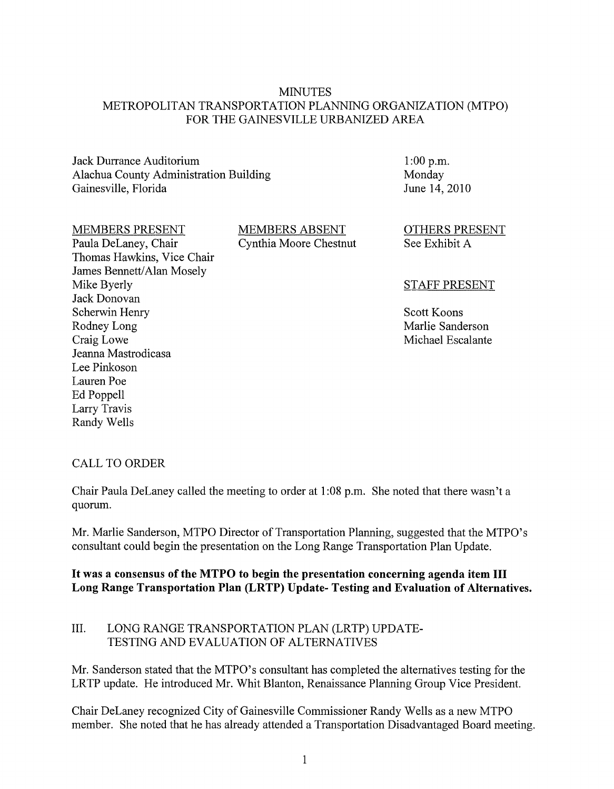#### MINUTES METROPOLITAN TRANSPORTATION PLANNING ORGANIZATION (MTPO) FOR THE GAINESVILLE URBANIZED AREA

Jack Durrance Auditorium Alachua County Administration Building Gainesville, Florida

1:00 p.m. Monday June 14,2010

#### MEMBERS PRESENT

Paula DeLaney, Chair Thomas Hawkins, Vice Chair James Bennett/Alan Mosely Mike Byerly Jack Donovan Scherwin Henry Rodney Long Craig Lowe Jeanna Mastrodicasa Lee Pinkoson Lauren Poe Ed Poppell Larry Travis Randy Wells

MEMBERS ABSENT Cynthia Moore Chestnut OTHERS PRESENT See Exhibit A

#### STAFF PRESENT

Scott Koons Marlie Sanderson Michael Escalante

# CALL TO ORDER

Chair Paula DeLaney called the meeting to order at 1 :08 p.m. She noted that there wasn't a quorum.

Mr. Marlie Sanderson, MTPO Director of Transportation Planning, suggested that the MTPO's consultant could begin the presentation on the Long Range Transportation Plan Update.

#### **It was a consensus of the MTPO to begin the presentation concerning agenda item III Long Range Transportation Plan (LRTP) Update- Testing and Evaluation of Alternatives.**

# III. LONG RANGE TRANSPORTATION PLAN (LRTP) UPDATE-TESTING AND EVALUATION OF ALTERNATIVES

Mr. Sanderson stated that the MTPO's consultant has completed the alternatives testing for the LRTP update. He introduced Mr. Whit Blanton, Renaissance Planning Group Vice President.

Chair DeLaney recognized City of Gainesville Commissioner Randy Wells as a new MTPO member. She noted that he has already attended a Transportation Disadvantaged Board meeting.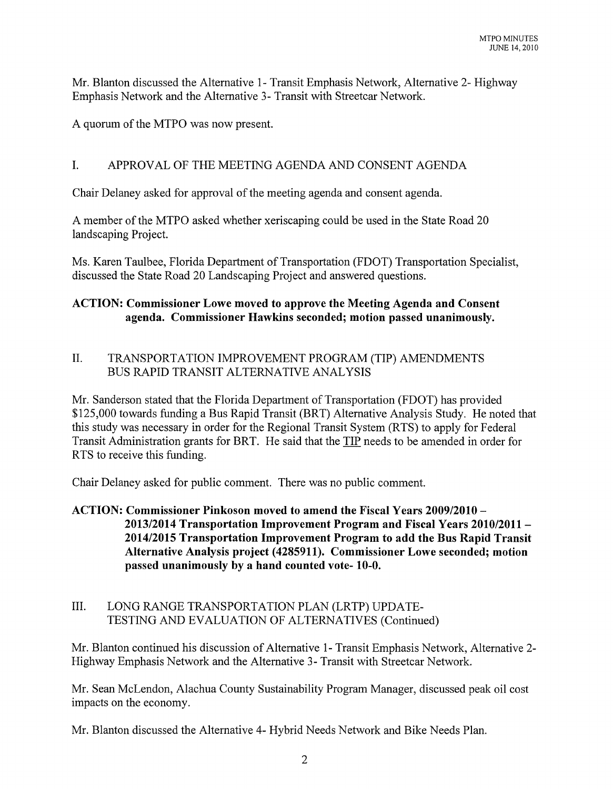Mr. Blanton discussed the Alternative 1- Transit Emphasis Network, Alternative 2- Highway Emphasis Network and the Alternative 3- Transit with Streetcar Network.

A quorum of the MTPO was now present.

# I. APPROVAL OF THE MEETING AGENDA AND CONSENT AGENDA

Chair Delaney asked for approval of the meeting agenda and consent agenda.

A member of the MTPO asked whether xeriscaping could be used in the State Road 20 landscaping Project.

Ms. Karen Taulbee, Florida Department of Transportation (FDOT) Transportation Specialist, discussed the State Road 20 Landscaping Project and answered questions.

# **ACTION: Commissioner Lowe moved to approve the Meeting Agenda and Consent agenda. Commissioner Hawkins seconded; motion passed unanimously.**

# II. TRANSPORTATION IMPROVEMENT PROGRAM (TIP) AMENDMENTS BUS RAPID TRANSIT ALTERNATIVE ANALYSIS

Mr. Sanderson stated that the Florida Department of Transportation (FDOT) has provided \$125,000 towards funding a Bus Rapid Transit (BRT) Alternative Analysis Study. He noted that this study was necessary in order for the Regional Transit System (RTS) to apply for Federal Transit Administration grants for BRT. He said that the TIP needs to be amended in order for RTS to receive this funding.

Chair Delaney asked for public comment. There was no public comment.

#### **ACTION: Commissioner Pinkoson moved to amend the Fiscal Years 2009/2010- 2013/2014 Transportation Improvement Program and Fiscal Years 2010/2011- 2014/2015 Transportation Improvement Program to add the Bus Rapid Transit Alternative Analysis project (4285911). Commissioner Lowe seconded; motion passed unanimously by a hand counted vote- 10-0.**

#### III. LONG RANGE TRANSPORTATION PLAN (LRTP) UPDATE-TESTING AND EVALUATION OF ALTERNATIVES (Continued)

Mr. Blanton continued his discussion of Alternative 1- Transit Emphasis Network, Alternative 2- Highway Emphasis Network and the Alternative 3- Transit with Streetcar Network.

Mr. Sean McLendon, Alachua County Sustainability Program Manager, discussed peak oil cost impacts on the economy.

Mr. Blanton discussed the Alternative 4- Hybrid Needs Network and Bike Needs Plan.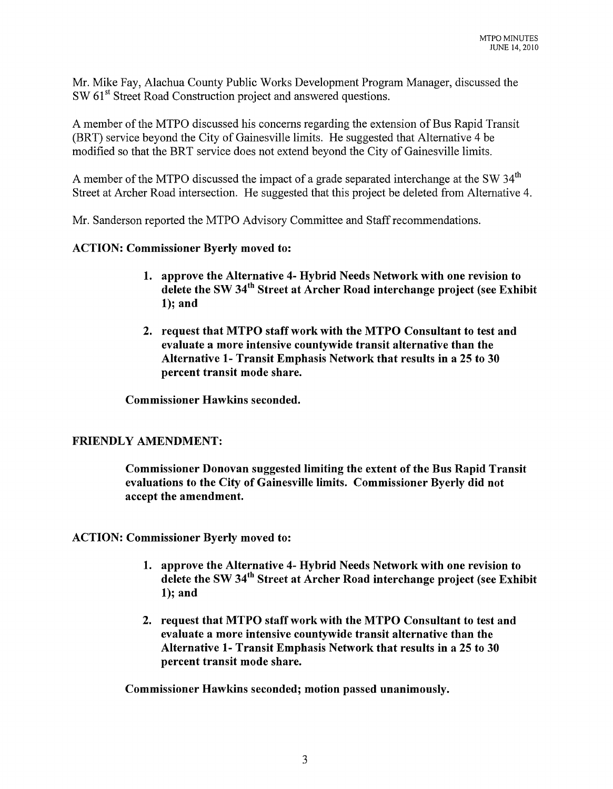Mr. Mike Fay, Alachua County Public Works Development Program Manager, discussed the SW 61<sup>st</sup> Street Road Construction project and answered questions.

A member of the MTPO discussed his concerns regarding the extension of Bus Rapid Transit (BRT) service beyond the City of Gainesville limits. He suggested that Alternative 4 be modified so that the BRT service does not extend beyond the City of Gainesville limits.

A member of the MTPO discussed the impact of a grade separated interchange at the SW  $34<sup>th</sup>$ Street at Archer Road intersection. He suggested that this project be deleted from Alternative 4.

Mr. Sanderson reported the MTPO Advisory Committee and Staff recommendations.

#### ACTION: Commissioner Byerly moved to:

- 1. approve the Alternative 4- Hybrid Needs Network with one revision to delete the SW 34<sup>th</sup> Street at Archer Road interchange project (see Exhibit 1); and
- 2. request that MTPO staff work with the MTPO Consultant to test and evaluate a more intensive countywide transit alternative than the Alternative 1- Transit Emphasis Network that results in a 25 to 30 percent transit mode share.

Commissioner Hawkins seconded.

#### FRIENDLY AMENDMENT:

Commissioner Donovan suggested limiting the extent of the Bus Rapid Transit evaluations to the City of Gainesville limits. Commissioner Byerly did not accept the amendment.

ACTION: Commissioner Byerly moved to:

- 1. approve the Alternative 4- Hybrid Needs Network with one revision to delete the SW 34<sup>th</sup> Street at Archer Road interchange project (see Exhibit 1); and
- 2. request that MTPO staff work with the MTPO Consultant to test and evaluate a more intensive countywide transit alternative than the Alternative 1- Transit Emphasis Network that results in a 25 to 30 percent transit mode share.

Commissioner Hawkins seconded; motion passed unanimously.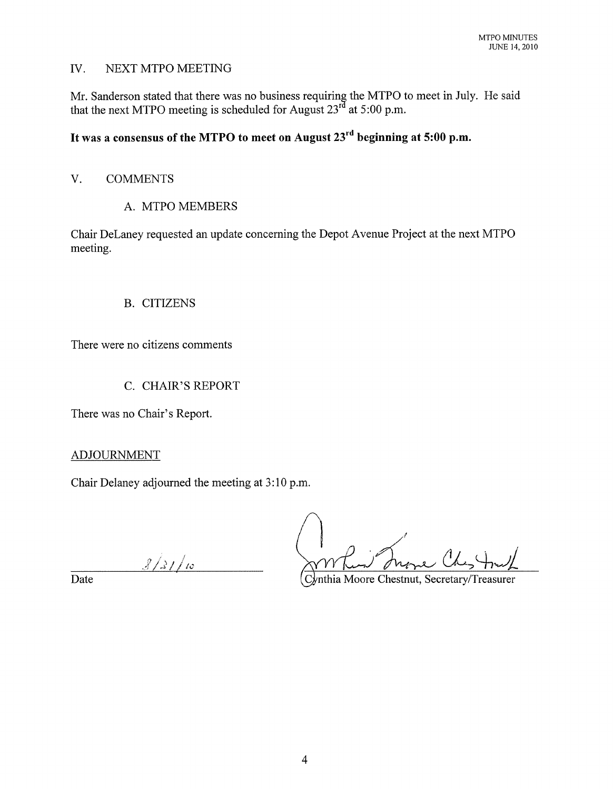#### IV. NEXT MTPO MEETING

Mr. Sanderson stated that there was no business requiring the MTPO to meet in July. He said that the next MTPO meeting is scheduled for August  $23<sup>rd</sup>$  at 5:00 p.m.

# **It was a consensus of the MTPO to meet on August 23rd beginning at 5:00 p.m.**

# V. COMMENTS

# A. MTPO MEMBERS

Chair DeLaney requested an update concerning the Depot Avenue Project at the next MTPO meeting.

# B. CITIZENS

There were no citizens comments

# C. CHAIR'S REPORT

There was no Chair's Report.

ADJOURNMENT

Chair Delaney adjourned the meeting at 3:10 p.m.

 $3/3$  / 10

Date Cynthia Moore Chestnut, Secretary/Treasurer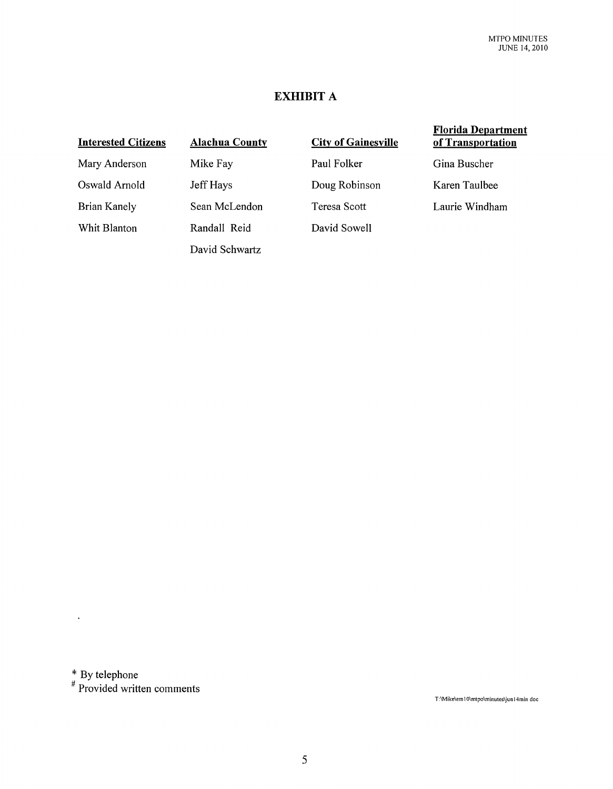# **EXHIBIT A**

# Interested Citizens Mary Anderson Oswald Arnold

Brian Kanely Whit Blanton Alachua County Mike Fay Jeff Hays Sean McLendon Randall Reid David Schwartz

| <b>City of Gainesville</b> |
|----------------------------|
| Paul Folker                |
| Doug Robinson              |
| Teresa Scott               |
| David Sowell               |

#### Florida Department of Transportation

Gina Buscher

Karen Taulbee

Laurie Windham

 $*$  By telephone

 $\ddot{\phantom{a}}$ 

# Provided written comments

T:\Mike\em10\mtpo\minutes\jun14min doc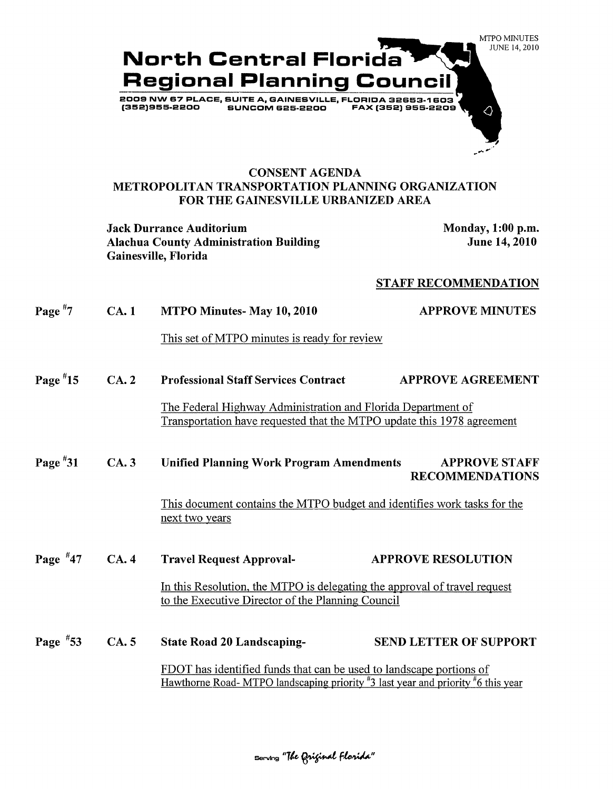

#### **CONSENT AGENDA METROPOLITAN TRANSPORTATION PLANNING ORGANIZATION FOR THE GAINESVILLE URBANIZED AREA**

**Jack Durrance Auditorium Monday, 1:00 p.m. Alachua County Administration Building Gainesville, Florida** 

**June 14,2010** 

#### **STAFF RECOMMENDATION**

| Page $\overline{7}$ | CA.1                                                                                                                                                   | MTPO Minutes-May 10, 2010                                                                                                              | <b>APPROVE MINUTES</b>        |
|---------------------|--------------------------------------------------------------------------------------------------------------------------------------------------------|----------------------------------------------------------------------------------------------------------------------------------------|-------------------------------|
|                     |                                                                                                                                                        | This set of MTPO minutes is ready for review                                                                                           |                               |
| Page $*15$          | CA.2                                                                                                                                                   | <b>Professional Staff Services Contract</b>                                                                                            | <b>APPROVE AGREEMENT</b>      |
|                     |                                                                                                                                                        | The Federal Highway Administration and Florida Department of<br>Transportation have requested that the MTPO update this 1978 agreement |                               |
| Page $*31$          | CA.3                                                                                                                                                   | <b>Unified Planning Work Program Amendments</b><br><b>APPROVE STAFF</b><br><b>RECOMMENDATIONS</b>                                      |                               |
|                     |                                                                                                                                                        | This document contains the MTPO budget and identifies work tasks for the<br>next two years                                             |                               |
| Page $*47$          | CA.4                                                                                                                                                   | <b>Travel Request Approval-</b>                                                                                                        | <b>APPROVE RESOLUTION</b>     |
|                     |                                                                                                                                                        | In this Resolution, the MTPO is delegating the approval of travel request<br>to the Executive Director of the Planning Council         |                               |
| Page $*53$          | CA.5                                                                                                                                                   | <b>State Road 20 Landscaping-</b>                                                                                                      | <b>SEND LETTER OF SUPPORT</b> |
|                     | FDOT has identified funds that can be used to landscape portions of<br>Hawthorne Road-MTPO landscaping priority #3 last year and priority #6 this year |                                                                                                                                        |                               |

 $\,$  serving "The Original Florida"